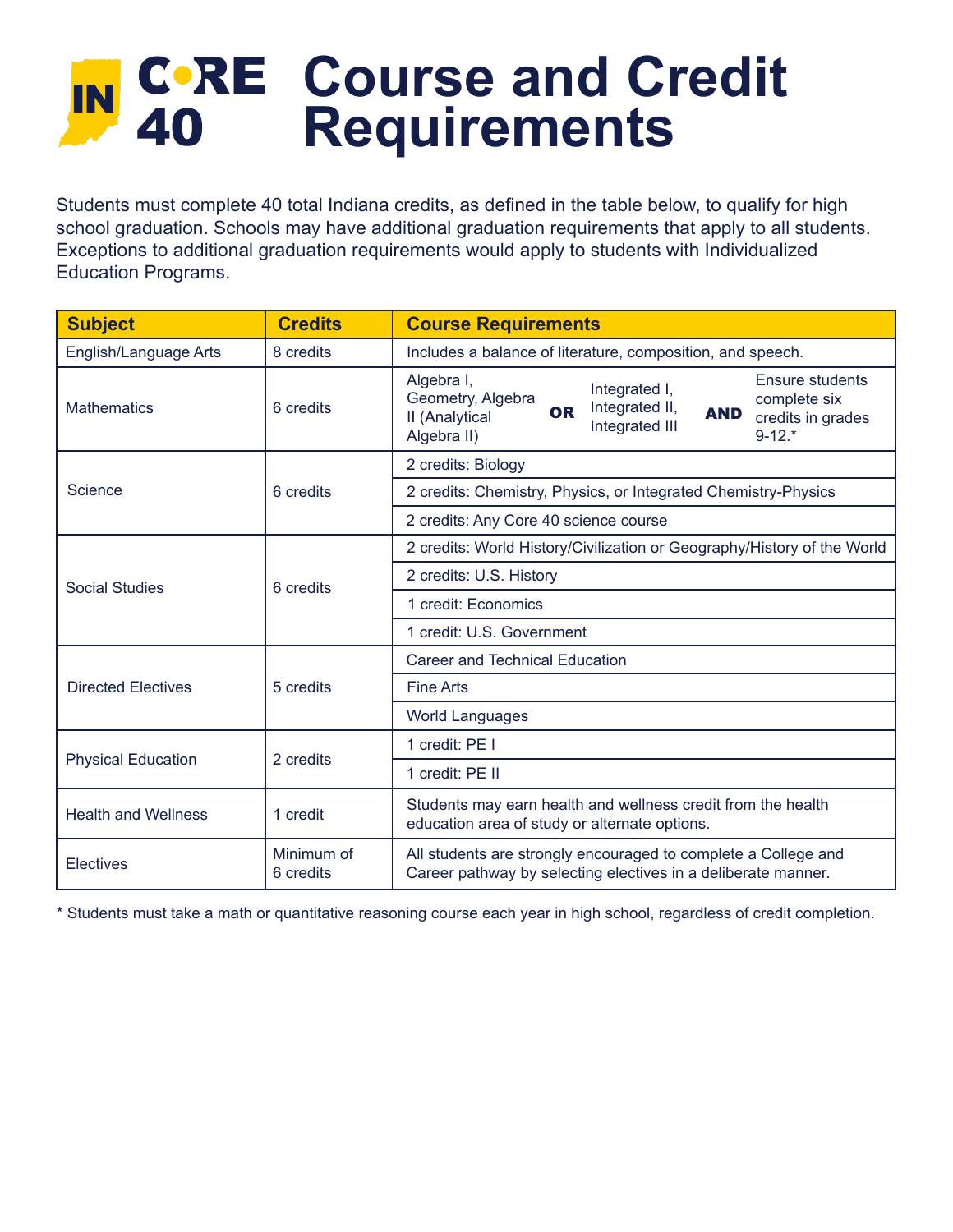## IN CORE Course and Credit 40 **Requirements**

Students must complete 40 total Indiana credits, as defined in the table below, to qualify for high school graduation. Schools may have additional graduation requirements that apply to all students. Exceptions to additional graduation requirements would apply to students with Individualized Education Programs.

| <b>Subject</b>             | <b>Credits</b>          | <b>Course Requirements</b>                                                                                                                                                                                                  |
|----------------------------|-------------------------|-----------------------------------------------------------------------------------------------------------------------------------------------------------------------------------------------------------------------------|
| English/Language Arts      | 8 credits               | Includes a balance of literature, composition, and speech.                                                                                                                                                                  |
| <b>Mathematics</b>         | 6 credits               | Algebra I,<br><b>Ensure students</b><br>Integrated I,<br>Geometry, Algebra<br>complete six<br>Integrated II,<br><b>OR</b><br><b>AND</b><br>II (Analytical<br>credits in grades<br>Integrated III<br>$9-12.*$<br>Algebra II) |
| Science                    | 6 credits               | 2 credits: Biology                                                                                                                                                                                                          |
|                            |                         | 2 credits: Chemistry, Physics, or Integrated Chemistry-Physics                                                                                                                                                              |
|                            |                         | 2 credits: Any Core 40 science course                                                                                                                                                                                       |
| Social Studies             | 6 credits               | 2 credits: World History/Civilization or Geography/History of the World                                                                                                                                                     |
|                            |                         | 2 credits: U.S. History                                                                                                                                                                                                     |
|                            |                         | 1 credit: Economics                                                                                                                                                                                                         |
|                            |                         | 1 credit: U.S. Government                                                                                                                                                                                                   |
| <b>Directed Electives</b>  | 5 credits               | <b>Career and Technical Education</b>                                                                                                                                                                                       |
|                            |                         | <b>Fine Arts</b>                                                                                                                                                                                                            |
|                            |                         | <b>World Languages</b>                                                                                                                                                                                                      |
| <b>Physical Education</b>  | 2 credits               | 1 credit: PE I                                                                                                                                                                                                              |
|                            |                         | 1 credit: PE II                                                                                                                                                                                                             |
| <b>Health and Wellness</b> | 1 credit                | Students may earn health and wellness credit from the health<br>education area of study or alternate options.                                                                                                               |
| <b>Electives</b>           | Minimum of<br>6 credits | All students are strongly encouraged to complete a College and<br>Career pathway by selecting electives in a deliberate manner.                                                                                             |

\* Students must take a math or quantitative reasoning course each year in high school, regardless of credit completion.